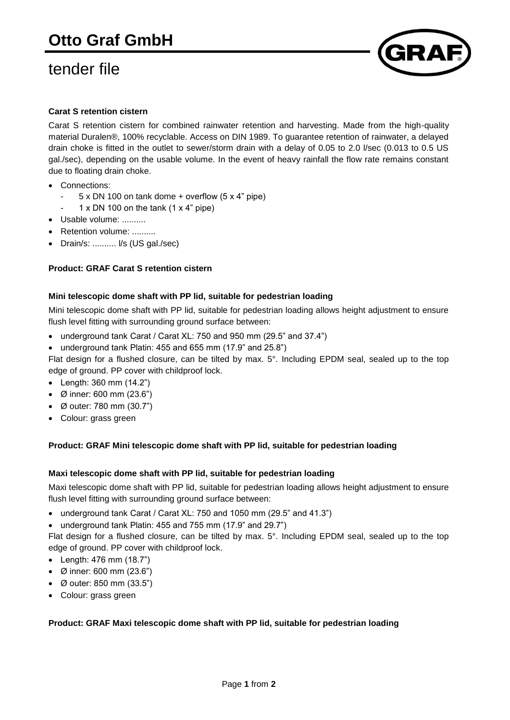# tender file



# **Carat S retention cistern**

Carat S retention cistern for combined rainwater retention and harvesting. Made from the high-quality material Duralen®, 100% recyclable. Access on DIN 1989. To guarantee retention of rainwater, a delayed drain choke is fitted in the outlet to sewer/storm drain with a delay of 0.05 to 2.0 l/sec (0.013 to 0.5 US gal./sec), depending on the usable volume. In the event of heavy rainfall the flow rate remains constant due to floating drain choke.

- Connections:
	- $5 \times DN$  100 on tank dome + overflow ( $5 \times 4$ " pipe)
	- 1 x DN 100 on the tank  $(1 \times 4$ " pipe)
- Usable volume: ..........
- Retention volume: ..........
- Drain/s: .......... l/s (US gal./sec)

## **Product: GRAF Carat S retention cistern**

#### **Mini telescopic dome shaft with PP lid, suitable for pedestrian loading**

Mini telescopic dome shaft with PP lid, suitable for pedestrian loading allows height adjustment to ensure flush level fitting with surrounding ground surface between:

- underground tank Carat / Carat XL: 750 and 950 mm (29.5" and 37.4")
- underground tank Platin: 455 and 655 mm (17.9" and 25.8")

Flat design for a flushed closure, can be tilted by max. 5°. Including EPDM seal, sealed up to the top edge of ground. PP cover with childproof lock.

- Length: 360 mm (14.2")
- Ø inner: 600 mm (23.6")
- Ø outer: 780 mm (30.7")
- Colour: grass green

#### **Product: GRAF Mini telescopic dome shaft with PP lid, suitable for pedestrian loading**

#### **Maxi telescopic dome shaft with PP lid, suitable for pedestrian loading**

Maxi telescopic dome shaft with PP lid, suitable for pedestrian loading allows height adjustment to ensure flush level fitting with surrounding ground surface between:

- underground tank Carat / Carat XL: 750 and 1050 mm (29.5" and 41.3")
- underground tank Platin: 455 and 755 mm (17.9" and 29.7")

Flat design for a flushed closure, can be tilted by max. 5°. Including EPDM seal, sealed up to the top edge of ground. PP cover with childproof lock.

- Length: 476 mm (18.7")
- Ø inner: 600 mm (23.6")
- Ø outer: 850 mm (33.5")
- Colour: grass green

#### **Product: GRAF Maxi telescopic dome shaft with PP lid, suitable for pedestrian loading**